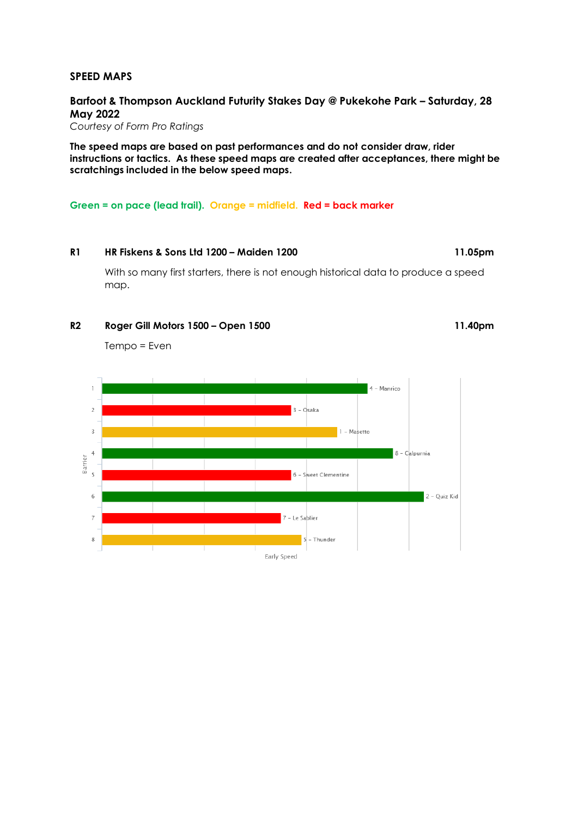#### **SPEED MAPS**

**Barfoot & Thompson Auckland Futurity Stakes Day @ Pukekohe Park – Saturday, 28 May 2022**

*Courtesy of Form Pro Ratings*

**The speed maps are based on past performances and do not consider draw, rider instructions or tactics. As these speed maps are created after acceptances, there might be scratchings included in the below speed maps.**

**Green = on pace (lead trail). Orange = midfield. Red = back marker**

### **R1 HR Fiskens & Sons Ltd 1200 – Maiden 1200 11.05pm**

With so many first starters, there is not enough historical data to produce a speed map.

#### **R2 Roger Gill Motors 1500 – Open 1500 11.40pm**

Tempo = Even

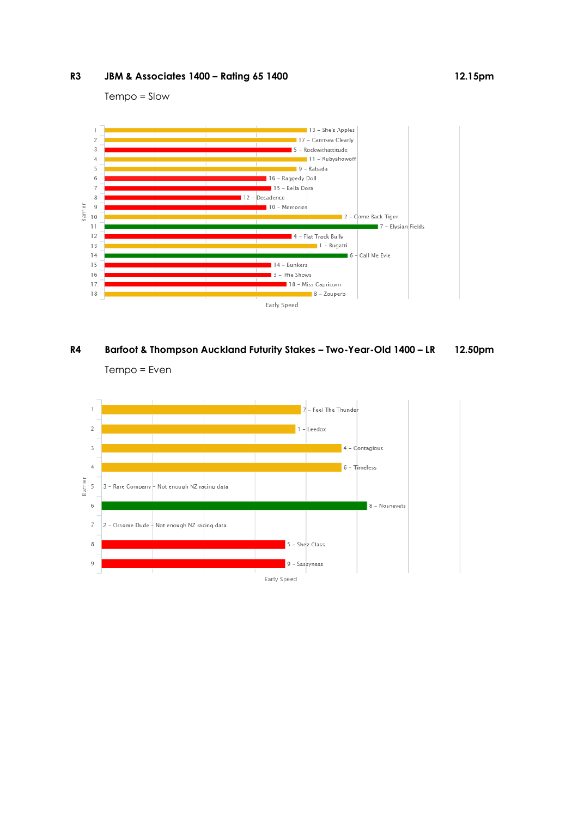### **R3 JBM & Associates 1400 – Rating 65 1400 12.15pm**

Tempo = Slow





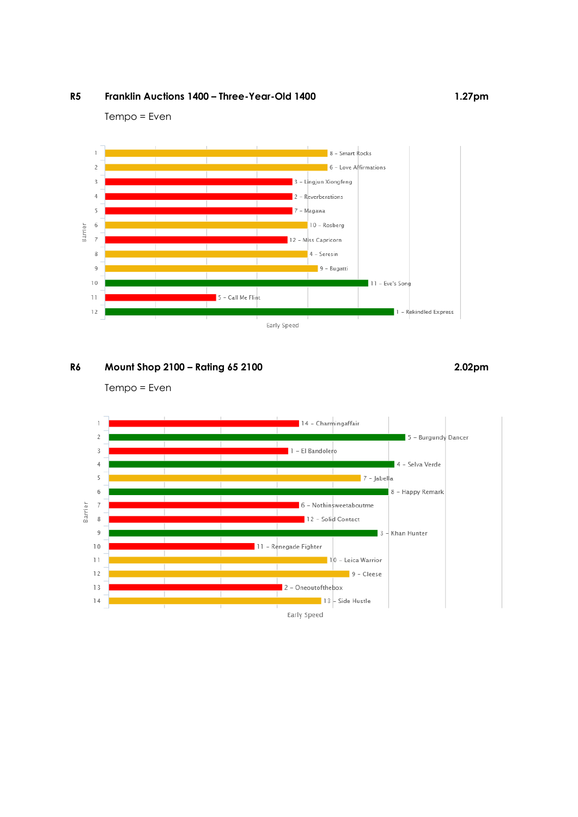## **R5 Franklin Auctions 1400 – Three-Year-Old 1400 1.27pm**

Tempo = Even



# **R6 Mount Shop 2100 – Rating 65 2100 2.02pm**

Tempo = Even

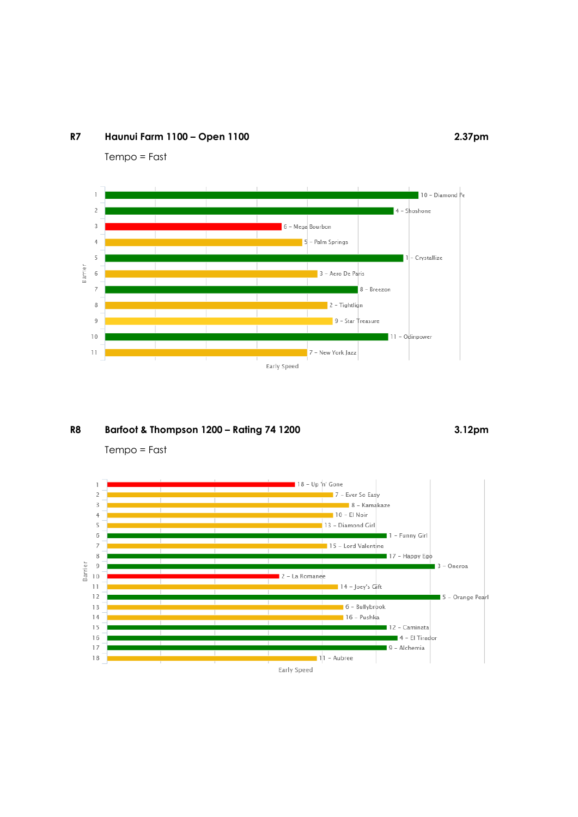### **R7 Haunui Farm 1100 – Open 1100 2.37pm**

Tempo = Fast



## **R8 Barfoot & Thompson 1200 – Rating 74 1200 3.12pm**

Tempo = Fast

![](_page_3_Figure_5.jpeg)